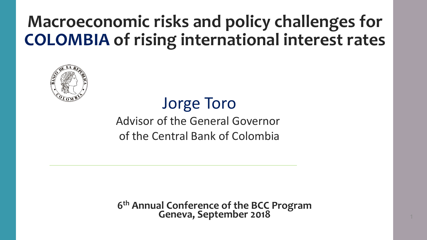## **Macroeconomic risks and policy challenges for COLOMBIA of rising international interest rates**



Jorge Toro Advisor of the General Governor of the Central Bank of Colombia

**6 th Annual Conference of the BCC Program Geneva, September 2018** 1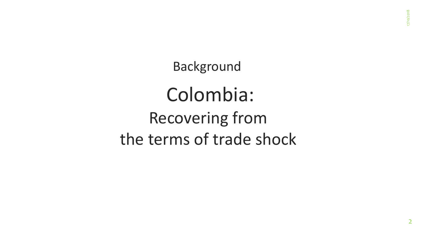Background

Colombia: Recovering from the terms of trade shock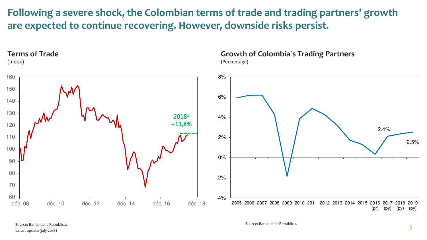**Following a severe shock, the Colombian terms of trade and trading partners' growth are expected to continue recovering. However, downside risks persist.** 

#### **Terms of Trade**

(Index)



## **Growth of Colombia´s Trading Partners**

(Percentage)

Source: Banco de la República**.**  Latest update (july-2018)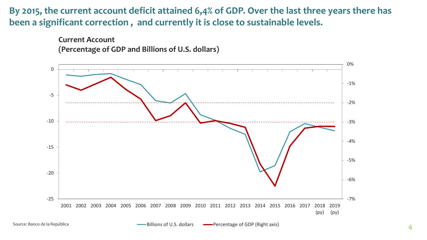## **By 2015, the current account deficit attained 6,4% of GDP. Over the last three years there has been a significant correction , and currently it is close to sustainable levels.**

**Current Account (Percentage of GDP and Billions of U.S. dollars)**

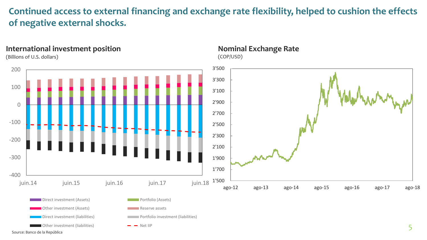## **Continued access to external financing and exchange rate flexibility, helped to cushion the effects of negative external shocks.**

(COP/USD)

**Nominal Exchange Rate** 

#### **International investment position**

(Billions of U.S. dollars)



Source: Banco de la República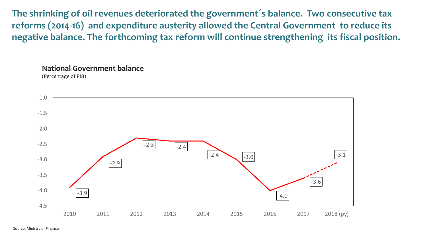**The shrinking of oil revenues deteriorated the government´s balance. Two consecutive tax reforms (2014-16) and expenditure austerity allowed the Central Government to reduce its negative balance. The forthcoming tax reform will continue strengthening its fiscal position.** 

#### **National Government balance**



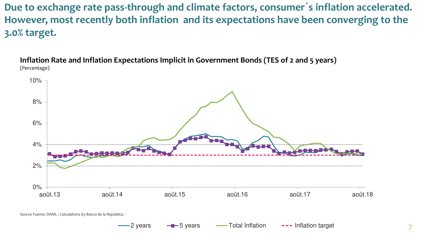**Due to exchange rate pass-through and climate factors, consumer´s inflation accelerated. However, most recently both inflation and its expectations have been converging to the 3.0% target.** 

**Inflation Rate and Inflation Expectations Implicit in Government Bonds (TES of 2 and 5 years)**  (Percentage)



2 years - - 5 years - Total Inflation --- Inflation target

Source Fuente: DANE. ; Calculations by Banco de la República.

7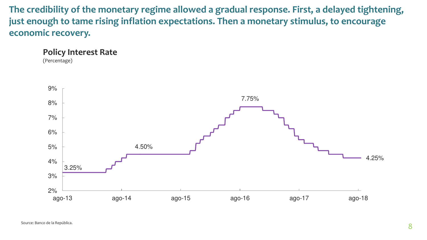**The credibility of the monetary regime allowed a gradual response. First, a delayed tightening, just enough to tame rising inflation expectations. Then a monetary stimulus, to encourage economic recovery.** 

**Policy Interest Rate** 

(Percentage)

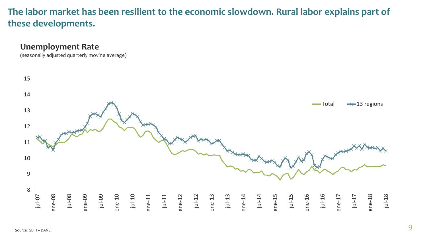## **The labor market has been resilient to the economic slowdown. Rural labor explains part of these developments.**

## **Unemployment Rate**

(seasonally adjusted quarterly moving average)

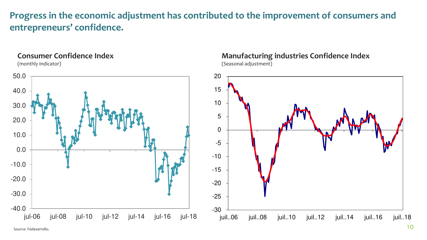## **Progress in the economic adjustment has contributed to the improvement of consumers and entrepreneurs' confidence.**

## **Consumer Confidence Index**

(monthly indicator)



## **Manufacturing industries Confidence Index**

(Seasonal adjustment)

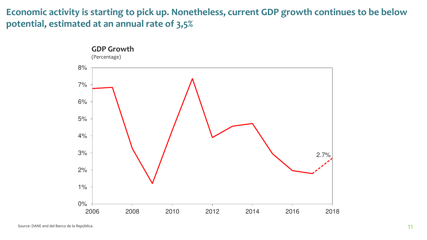## **Economic activity is starting to pick up. Nonetheless, current GDP growth continues to be below potential, estimated at an annual rate of 3,5%**

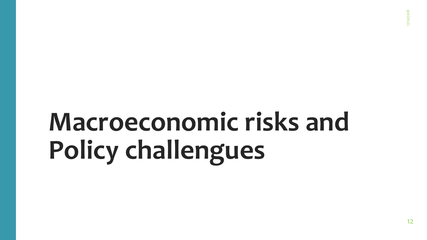## **Macroeconomic risks and Policy challengues**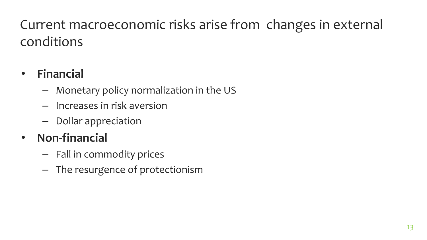## Current macroeconomic risks arise from changes in external conditions

## • **Financial**

- Monetary policy normalization in the US
- Increases in risk aversion
- Dollar appreciation

## • **Non-financial**

- Fall in commodity prices
- The resurgence of protectionism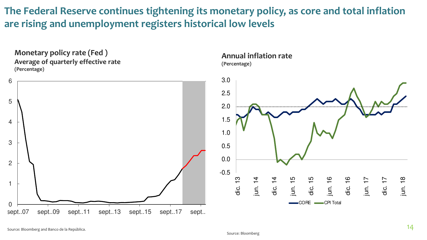**The Federal Reserve continues tightening its monetary policy, as core and total inflation are rising and unemployment registers historical low levels** 

**Monetary policy rate (Fed ) Average of quarterly effective rate (Percentage)** 



#### **Annual inflation rate (Percentage)**

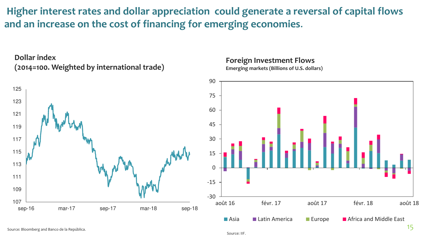**Higher interest rates and dollar appreciation could generate a reversal of capital flows and an increase on the cost of financing for emerging economies**.



### **Foreign Investment Flows**

**Emerging markets (Billions of U.S. dollars)** 

![](_page_14_Figure_4.jpeg)

Source: Bloomberg and Banco de la República.

**Dollar index** 

Source: IIF.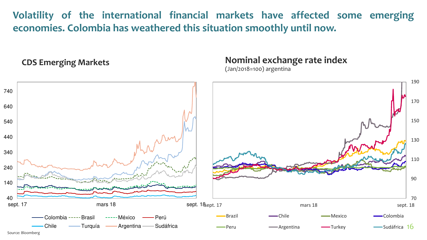**Volatility of the international financial markets have affected some emerging economies. Colombia has weathered this situation smoothly until now.** 

**CDS Emerging Markets** 

**Nominal exchange rate index**

(Jan/2018=100) argentina

![](_page_15_Figure_4.jpeg)

Source: Bloomberg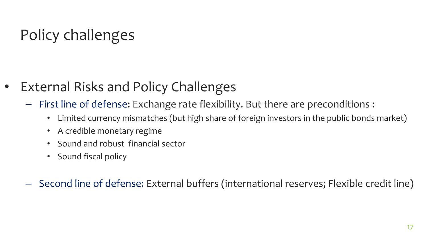## Policy challenges

- External Risks and Policy Challenges
	- First line of defense: Exchange rate flexibility. But there are preconditions :
		- Limited currency mismatches (but high share of foreign investors in the public bonds market)
		- A credible monetary regime
		- Sound and robust financial sector
		- Sound fiscal policy
	- Second line of defense: External buffers (international reserves; Flexible credit line)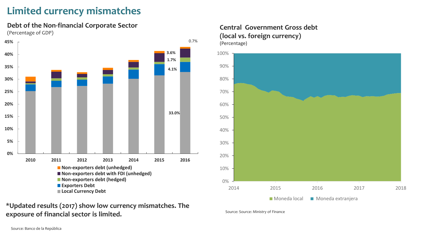## **Limited currency mismatches**

**Debt of the Non-financial Corporate Sector**  (Percentage of GDP)

![](_page_17_Figure_2.jpeg)

#### **\*Updated results (2017) show low currency mismatches. The exposure of financial sector is limited.**

#### **Central Government Gross debt (local vs. foreign currency)**  (Percentage)

![](_page_17_Figure_5.jpeg)

Source: Source: Ministry of Finance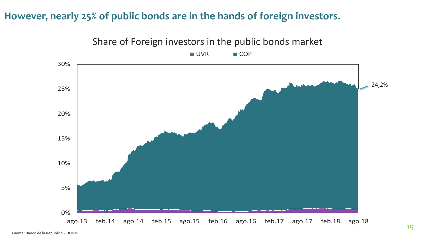## **However, nearly 25% of public bonds are in the hands of foreign investors.**

![](_page_18_Figure_1.jpeg)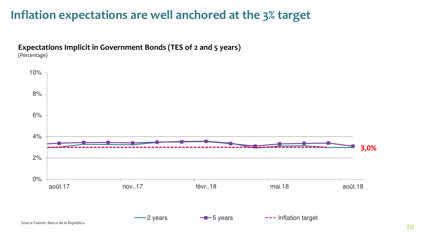## **Inflation expectations are well anchored at the 3% target**

![](_page_19_Figure_1.jpeg)

![](_page_19_Figure_2.jpeg)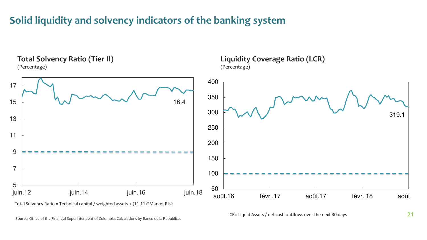## **Solid liquidity and solvency indicators of the banking system**

![](_page_20_Figure_1.jpeg)

Total Solvency Ratio = Technical capital / weighted assets + (11.11)\*Market Risk

Source: Office of the Financial Superintendent of Colombia; Calculations by Banco de la República.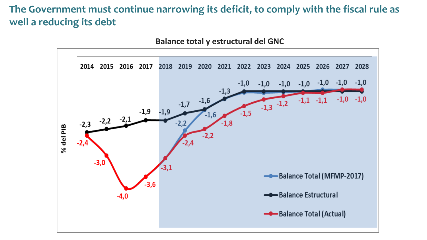## **The Government must continue narrowing its deficit, to comply with the fiscal rule as well a reducing its debt**

![](_page_21_Figure_1.jpeg)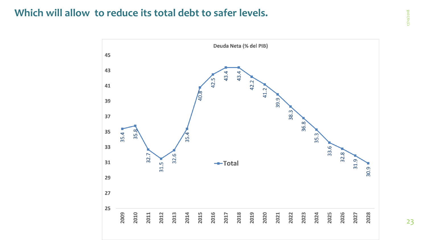## **Which will allow to reduce its total debt to safer levels.**

![](_page_22_Figure_1.jpeg)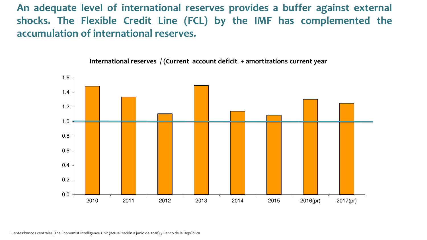**An adequate level of international reserves provides a buffer against external shocks. The Flexible Credit Line (FCL) by the IMF has complemented the accumulation of international reserves.** 

![](_page_23_Figure_1.jpeg)

**International reserves / (Current account deficit + amortizations current year** 

Fuentes:bancos centrales, The Economist Intelligence Unit (actualización a junio de 2018) y Banco de la República